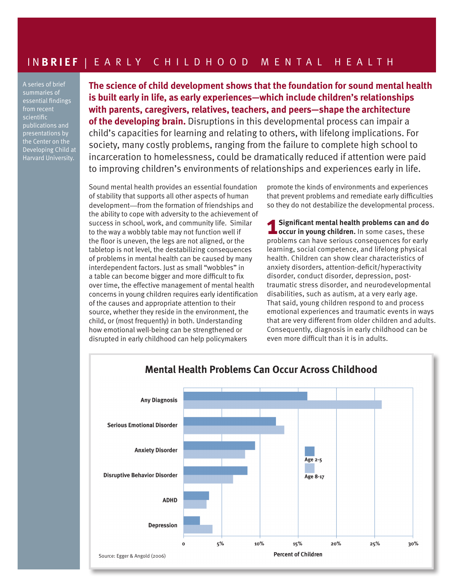## I N **BRIEF** | EARLY CHILDHOOD MENTAL HEALTH

A series of brief summaries of essential findings from recent scientific publications and presentations by the Center on the Developing Child at Harvard University.

**The science of child development shows that the foundation for sound mental health is built early in life, as early experiences—which include children's relationships with parents, caregivers, relatives, teachers, and peers—shape the architecture of the developing brain.** Disruptions in this developmental process can impair a child's capacities for learning and relating to others, with lifelong implications. For society, many costly problems, ranging from the failure to complete high school to incarceration to homelessness, could be dramatically reduced if attention were paid to improving children's environments of relationships and experiences early in life.

Sound mental health provides an essential foundation of stability that supports all other aspects of human development—from the formation of friendships and the ability to cope with adversity to the achievement of success in school, work, and community life. Similar to the way a wobbly table may not function well if the floor is uneven, the legs are not aligned, or the tabletop is not level, the destabilizing consequences of problems in mental health can be caused by many interdependent factors. Just as small "wobbles" in a table can become bigger and more difficult to fix over time, the effective management of mental health concerns in young children requires early identification of the causes and appropriate attention to their source, whether they reside in the environment, the child, or (most frequently) in both. Understanding how emotional well-being can be strengthened or disrupted in early childhood can help policymakers

promote the kinds of environments and experiences that prevent problems and remediate early difficulties so they do not destabilize the developmental process.

**1 Significant mental health problems can and do occur in young children.** In some cases, these problems can have serious consequences for early learning, social competence, and lifelong physical health. Children can show clear characteristics of anxiety disorders, attention-deficit/hyperactivity disorder, conduct disorder, depression, posttraumatic stress disorder, and neurodevelopmental disabilities, such as autism, at a very early age. That said, young children respond to and process emotional experiences and traumatic events in ways that are very different from older children and adults. Consequently, diagnosis in early childhood can be even more difficult than it is in adults.



## **Mental Health Problems Can Occur Across Childhood**